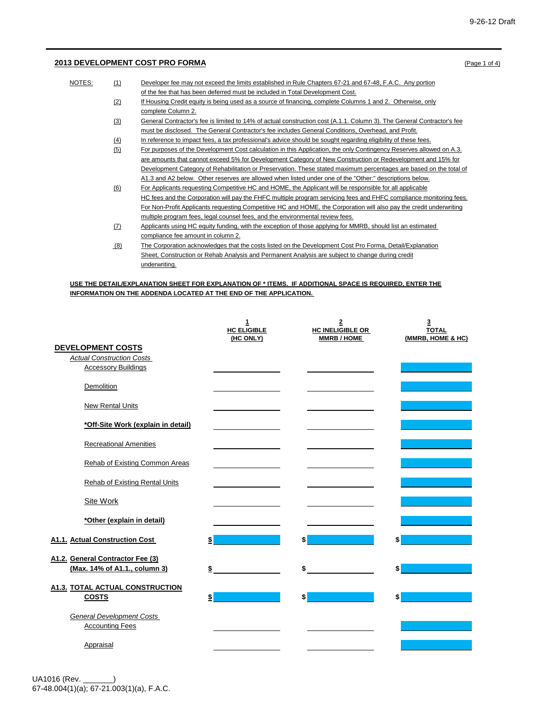## **2013 DEVELOPMENT COST PRO FORMA** (Page 1 of 4)

| NOTES: | (1) | Developer fee may not exceed the limits established in Rule Chapters 67-21 and 67-48, F.A.C. Any portion               |
|--------|-----|------------------------------------------------------------------------------------------------------------------------|
|        |     | of the fee that has been deferred must be included in Total Development Cost.                                          |
|        | (2) | If Housing Credit equity is being used as a source of financing, complete Columns 1 and 2. Otherwise, only             |
|        |     | complete Column 2.                                                                                                     |
|        | (3) | General Contractor's fee is limited to 14% of actual construction cost (A.1.1. Column 3). The General Contractor's fee |
|        |     | must be disclosed. The General Contractor's fee includes General Conditions, Overhead, and Profit.                     |
|        | (4) | In reference to impact fees, a tax professional's advice should be sought regarding eligibility of these fees.         |
|        | (5) | For purposes of the Development Cost calculation in this Application, the only Contingency Reserves allowed on A.3.    |
|        |     | are amounts that cannot exceed 5% for Development Category of New Construction or Redevelopment and 15% for            |
|        |     | Development Category of Rehabilitation or Preservation. These stated maximum percentages are based on the total of     |
|        |     | A1.3 and A2 below. Other reserves are allowed when listed under one of the "Other:" descriptions below.                |
|        | (6) | For Applicants requesting Competitive HC and HOME, the Applicant will be responsible for all applicable                |
|        |     | HC fees and the Corporation will pay the FHFC multiple program servicing fees and FHFC compliance monitoring fees.     |
|        |     | For Non-Profit Applicants requesting Competitive HC and HOME, the Corporation will also pay the credit underwriting    |
|        |     | multiple program fees, legal counsel fees, and the environmental review fees.                                          |
|        | (7) | Applicants using HC equity funding, with the exception of those applying for MMRB, should list an estimated            |
|        |     | compliance fee amount in column 2.                                                                                     |
|        | (8) | The Corporation acknowledges that the costs listed on the Development Cost Pro Forma, Detail/Explanation               |
|        |     | Sheet, Construction or Rehab Analysis and Permanent Analysis are subject to change during credit                       |
|        |     | underwriting.                                                                                                          |

### **USE THE DETAIL/EXPLANATION SHEET FOR EXPLANATION OF \* ITEMS. IF ADDITIONAL SPACE IS REQUIRED, ENTER THE INFORMATION ON THE ADDENDA LOCATED AT THE END OF THE APPLICATION.**

|                                                                                            | $\mathbf{1}$<br><b>HC ELIGIBLE</b><br>(HC ONLY) | $\overline{\mathbf{2}}$<br><b>HC INELIGIBLE OR</b><br><b>MMRB/HOME</b> | 3<br><b>TOTAL</b><br>(MMRB, HOME & HC) |
|--------------------------------------------------------------------------------------------|-------------------------------------------------|------------------------------------------------------------------------|----------------------------------------|
| <b>DEVELOPMENT COSTS</b><br><b>Actual Construction Costs</b><br><b>Accessory Buildings</b> |                                                 |                                                                        |                                        |
| Demolition                                                                                 |                                                 |                                                                        |                                        |
| <b>New Rental Units</b>                                                                    |                                                 |                                                                        |                                        |
| *Off-Site Work (explain in detail)                                                         |                                                 |                                                                        |                                        |
| <b>Recreational Amenities</b>                                                              |                                                 |                                                                        |                                        |
| Rehab of Existing Common Areas                                                             |                                                 |                                                                        |                                        |
| <b>Rehab of Existing Rental Units</b>                                                      |                                                 |                                                                        |                                        |
| <b>Site Work</b>                                                                           |                                                 |                                                                        |                                        |
| *Other (explain in detail)                                                                 |                                                 |                                                                        |                                        |
| A1.1. Actual Construction Cost                                                             | \$                                              | \$                                                                     | \$                                     |
| A1.2. General Contractor Fee (3)<br>(Max. 14% of A1.1., column 3)                          | \$                                              | \$                                                                     | \$                                     |
| <b>A1.3. TOTAL ACTUAL CONSTRUCTION</b><br><b>COSTS</b>                                     | \$                                              | \$                                                                     | \$                                     |
| <b>General Development Costs</b><br><b>Accounting Fees</b>                                 |                                                 |                                                                        |                                        |
| Appraisal                                                                                  |                                                 |                                                                        |                                        |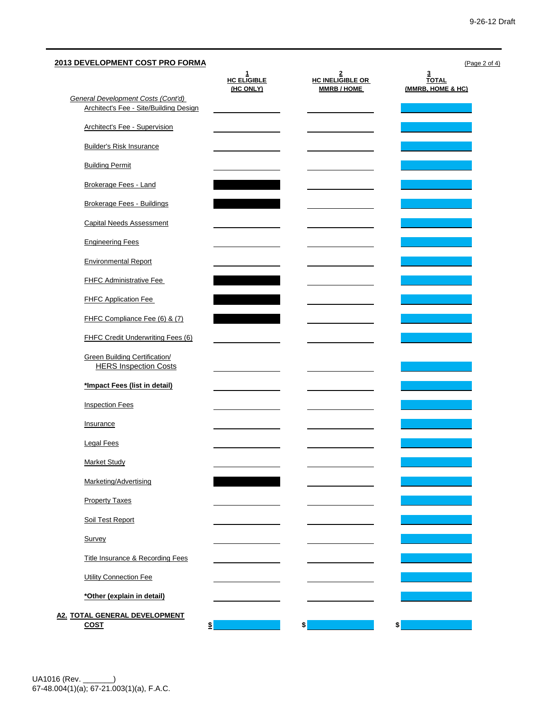| 2013 DEVELOPMENT COST PRO FORMA                                      |                              |                                   | (Page 2 of 4)<br>3         |
|----------------------------------------------------------------------|------------------------------|-----------------------------------|----------------------------|
|                                                                      | $rac{1}{\text{HC}}$ ELIGIBLE | $rac{2}{\text{HC}}$ INELIGIBLE OR | <b>TOTAL</b>               |
| <b>General Development Costs (Cont'd)</b>                            | (HC ONLY)                    | <b>MMRB/HOME</b>                  | (MMRB, HOME & HC)          |
| Architect's Fee - Site/Building Design                               |                              |                                   |                            |
| Architect's Fee - Supervision                                        |                              |                                   |                            |
| <b>Builder's Risk Insurance</b>                                      |                              |                                   |                            |
| <b>Building Permit</b>                                               |                              |                                   |                            |
| Brokerage Fees - Land                                                |                              |                                   |                            |
| <b>Brokerage Fees - Buildings</b>                                    |                              |                                   |                            |
| <b>Capital Needs Assessment</b>                                      |                              |                                   |                            |
| <b>Engineering Fees</b>                                              |                              |                                   |                            |
| <b>Environmental Report</b>                                          |                              |                                   |                            |
| <b>FHFC Administrative Fee</b>                                       |                              |                                   |                            |
| <b>FHFC Application Fee</b>                                          |                              |                                   |                            |
| FHFC Compliance Fee (6) & (7)                                        |                              |                                   |                            |
| <b>FHFC Credit Underwriting Fees (6)</b>                             |                              |                                   |                            |
| <b>Green Building Certification/</b><br><b>HERS Inspection Costs</b> |                              |                                   |                            |
| *Impact Fees (list in detail)                                        |                              |                                   |                            |
| <b>Inspection Fees</b>                                               |                              |                                   |                            |
| Insurance                                                            |                              |                                   |                            |
| <b>Legal Fees</b>                                                    |                              |                                   |                            |
| <b>Market Study</b>                                                  |                              |                                   |                            |
| Marketing/Advertising                                                |                              |                                   |                            |
| <b>Property Taxes</b>                                                |                              |                                   |                            |
| Soil Test Report                                                     |                              |                                   |                            |
| Survey                                                               |                              |                                   |                            |
| Title Insurance & Recording Fees                                     |                              |                                   |                            |
| <b>Utility Connection Fee</b>                                        |                              |                                   |                            |
| *Other (explain in detail)                                           |                              |                                   |                            |
| A2. TOTAL GENERAL DEVELOPMENT                                        |                              |                                   |                            |
| <b>COST</b><br>$\frac{1}{2}$                                         |                              | \$                                | $\boldsymbol{\frac{1}{2}}$ |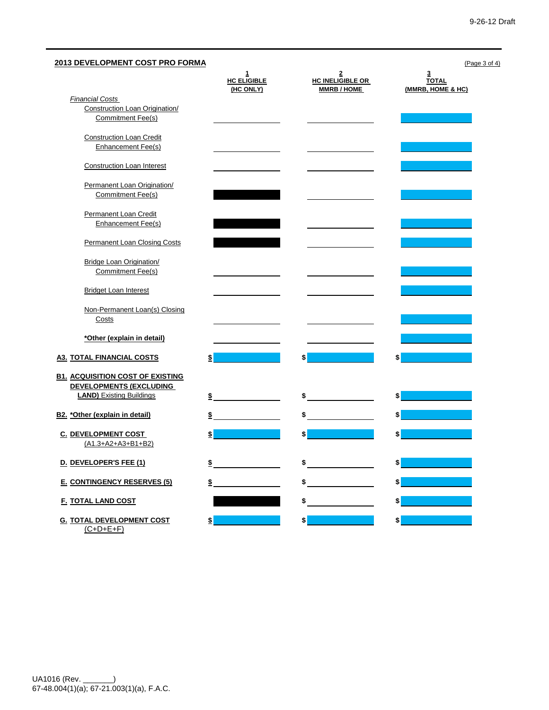# **2013 DEVELOPMENT COST PRO FORMA** (Page 3 of 4) **1 2 3 HC ELIGIBLE (HC ONLY) HC INELIGIBLE OR MMRB / HOME TOTAL (MMRB, HOME & HC)** *Financial Costs*  Construction Loan Origination/ Commitment Fee(s) Construction Loan Credit Enhancement Fee(s) Construction Loan Interest Permanent Loan Origination/ Commitment Fee(s) Permanent Loan Credit Enhancement Fee(s) Permanent Loan Closing Costs Bridge Loan Origination/ Commitment Fee(s) Bridget Loan Interest Non-Permanent Loan(s) Closing Costs **\*Other (explain in detail) A3. TOTAL FINANCIAL COSTS \$ \$ \$ B1. ACQUISITION COST OF EXISTING DEVELOPMENTS (EXCLUDING LAND)** Existing Buildings **\$ \$ \$ B2. \*Other (explain in detail) \$ \$ \$ C. DEVELOPMENT COST \$ \$ \$** (A1.3+A2+A3+B1+B2) **D. DEVELOPER'S FEE (1) \$ \$ \$ E. CONTINGENCY RESERVES (5) \$ \$ \$ F. TOTAL LAND COST \$ \$ G. TOTAL DEVELOPMENT COST \$ \$ \$**

 $(C+D+E+F)$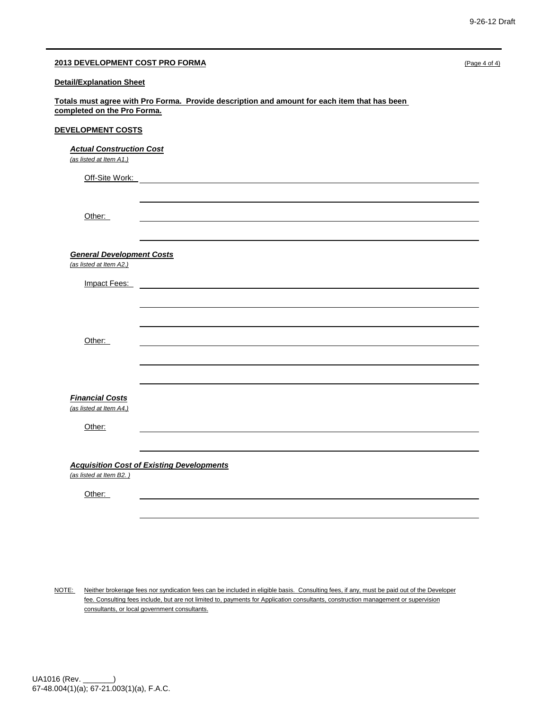| 2013 DEVELOPMENT COST PRO FORMA                            |                                                                                                                                                                                                                                     | (Page 4 of 4) |
|------------------------------------------------------------|-------------------------------------------------------------------------------------------------------------------------------------------------------------------------------------------------------------------------------------|---------------|
| <b>Detail/Explanation Sheet</b>                            |                                                                                                                                                                                                                                     |               |
| completed on the Pro Forma.                                | Totals must agree with Pro Forma. Provide description and amount for each item that has been                                                                                                                                        |               |
| DEVELOPMENT COSTS                                          |                                                                                                                                                                                                                                     |               |
| <b>Actual Construction Cost</b><br>(as listed at Item A1.) |                                                                                                                                                                                                                                     |               |
|                                                            | Off-Site Work: <u>with the state of the state of</u> the state of the state of the state of the state of the state of the state of the state of the state of the state of the state of the state of the state of the state of the s |               |
|                                                            |                                                                                                                                                                                                                                     |               |
| Other:                                                     |                                                                                                                                                                                                                                     |               |
| <b>General Development Costs</b>                           |                                                                                                                                                                                                                                     |               |
| (as listed at Item A2.)                                    |                                                                                                                                                                                                                                     |               |
| Impact Fees:                                               |                                                                                                                                                                                                                                     |               |
|                                                            |                                                                                                                                                                                                                                     |               |
| Other:                                                     |                                                                                                                                                                                                                                     |               |
|                                                            |                                                                                                                                                                                                                                     |               |
| <b>Financial Costs</b>                                     |                                                                                                                                                                                                                                     |               |
| (as listed at Item A4.)                                    |                                                                                                                                                                                                                                     |               |
| Other:                                                     |                                                                                                                                                                                                                                     |               |
| <b>Acquisition Cost of Existing Developments</b>           |                                                                                                                                                                                                                                     |               |
| (as listed at Item B2.)                                    |                                                                                                                                                                                                                                     |               |
| Other:                                                     |                                                                                                                                                                                                                                     |               |
|                                                            |                                                                                                                                                                                                                                     |               |

NOTE: Neither brokerage fees nor syndication fees can be included in eligible basis. Consulting fees, if any, must be paid out of the Developer fee. Consulting fees include, but are not limited to, payments for Application consultants, construction management or supervision consultants, or local government consultants.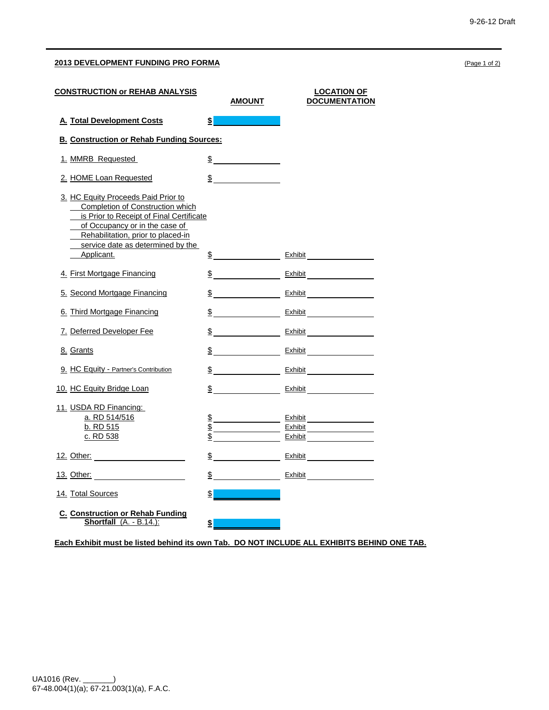## **2013 DEVELOPMENT FUNDING PRO FORMA** (Page 1 of 2)

| <b>CONSTRUCTION or REHAB ANALYSIS</b>                                                                                                                                                                                                                 |               | AMOUNT                      | <b>LOCATION OF</b><br><b>DOCUMENTATION</b>  |
|-------------------------------------------------------------------------------------------------------------------------------------------------------------------------------------------------------------------------------------------------------|---------------|-----------------------------|---------------------------------------------|
| A. Total Development Costs                                                                                                                                                                                                                            | $\frac{1}{2}$ |                             |                                             |
| <b>B. Construction or Rehab Funding Sources:</b>                                                                                                                                                                                                      |               |                             |                                             |
| 1. MMRB Requested                                                                                                                                                                                                                                     |               | $\frac{1}{2}$               |                                             |
| 2. HOME Loan Requested                                                                                                                                                                                                                                |               | $\frac{\text{S}}{\text{S}}$ |                                             |
| 3. HC Equity Proceeds Paid Prior to<br><b>Completion of Construction which</b><br>is Prior to Receipt of Final Certificate<br>of Occupancy or in the case of<br>Rehabilitation, prior to placed-in<br>service date as determined by the<br>Applicant. |               |                             | $\frac{\$}{\$}$ Exhibit                     |
| 4. First Mortgage Financing                                                                                                                                                                                                                           |               |                             | $\frac{\mathsf{S}}{\mathsf{S}}$ Exhibit     |
| 5. Second Mortgage Financing                                                                                                                                                                                                                          |               |                             |                                             |
| 6. Third Mortgage Financing                                                                                                                                                                                                                           |               |                             | $\frac{1}{2}$ Exhibit $\frac{1}{2}$ Exhibit |
| 7. Deferred Developer Fee                                                                                                                                                                                                                             |               |                             | $\frac{1}{2}$ Exhibit                       |
| 8. Grants                                                                                                                                                                                                                                             |               |                             |                                             |
| 9. HC Equity - Partner's Contribution                                                                                                                                                                                                                 |               |                             |                                             |
| 10. HC Equity Bridge Loan                                                                                                                                                                                                                             |               |                             |                                             |
| 11. USDA RD Financing:<br>a. RD 514/516<br>b. RD 515<br>c. RD 538                                                                                                                                                                                     |               |                             | $\frac{\$}{\ }$ Exhibit<br>Exhibit          |
| <u>12. Other:</u> <u>2000 12. 2000 12. 2000 12. 2000 12. 2000 12. 2000 12. 2000 12. 2000 12. 2000 12. 2000 12. 2000 12. 2000 12. 2000 12. 2000 12. 2000 12. 2000 12. 2000 12. 2000 12. 2000 12. 2000 12. 2000 12. 2000 12. 2000 12. 2</u>             |               |                             | $\frac{1}{2}$ Exhibit $\frac{1}{2}$ Exhibit |
| <u>13. Other:</u> <b>2007</b>                                                                                                                                                                                                                         |               |                             | $\frac{1}{2}$ Exhibit $\frac{1}{2}$ Exhibit |
| 14. Total Sources                                                                                                                                                                                                                                     | $\frac{1}{2}$ |                             |                                             |
| <b>C. Construction or Rehab Funding</b><br>Shortfall (A. - B.14.):                                                                                                                                                                                    | \$            |                             |                                             |

**Each Exhibit must be listed behind its own Tab. DO NOT INCLUDE ALL EXHIBITS BEHIND ONE TAB.**